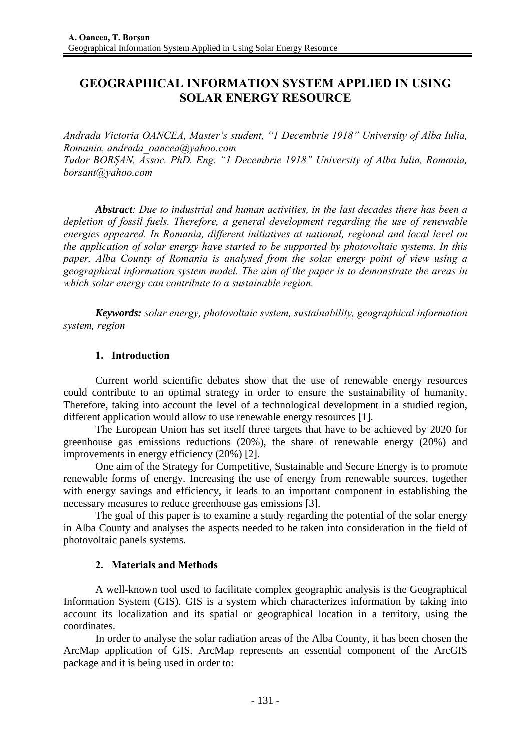# **GEOGRAPHICAL INFORMATION SYSTEM APPLIED IN USING SOLAR ENERGY RESOURCE**

*Andrada Victoria OANCEA, Master's student, "1 Decembrie 1918" University of Alba Iulia, Romania, andrada\_oancea@yahoo.com Tudor BORȘAN, Assoc. PhD. Eng. "1 Decembrie 1918" University of Alba Iulia, Romania, borsant@yahoo.com* 

*Abstract: Due to industrial and human activities, in the last decades there has been a depletion of fossil fuels. Therefore, a general development regarding the use of renewable energies appeared. In Romania, different initiatives at national, regional and local level on the application of solar energy have started to be supported by photovoltaic systems. In this paper, Alba County of Romania is analysed from the solar energy point of view using a geographical information system model. The aim of the paper is to demonstrate the areas in which solar energy can contribute to a sustainable region.* 

*Keywords: solar energy, photovoltaic system, sustainability, geographical information system, region*

## **1. Introduction**

Current world scientific debates show that the use of renewable energy resources could contribute to an optimal strategy in order to ensure the sustainability of humanity. Therefore, taking into account the level of a technological development in a studied region, different application would allow to use renewable energy resources [1].

The European Union has set itself three targets that have to be achieved by 2020 for greenhouse gas emissions reductions (20%), the share of renewable energy (20%) and improvements in energy efficiency (20%) [2].

One aim of the Strategy for Competitive, Sustainable and Secure Energy is to promote renewable forms of energy. Increasing the use of energy from renewable sources, together with energy savings and efficiency, it leads to an important component in establishing the necessary measures to reduce greenhouse gas emissions [3].

The goal of this paper is to examine a study regarding the potential of the solar energy in Alba County and analyses the aspects needed to be taken into consideration in the field of photovoltaic panels systems.

## **2. Materials and Methods**

A well-known tool used to facilitate complex geographic analysis is the Geographical Information System (GIS). GIS is a system which characterizes information by taking into account its localization and its spatial or geographical location in a territory, using the coordinates.

In order to analyse the solar radiation areas of the Alba County, it has been chosen the ArcMap application of GIS. ArcMap represents an essential component of the ArcGIS package and it is being used in order to: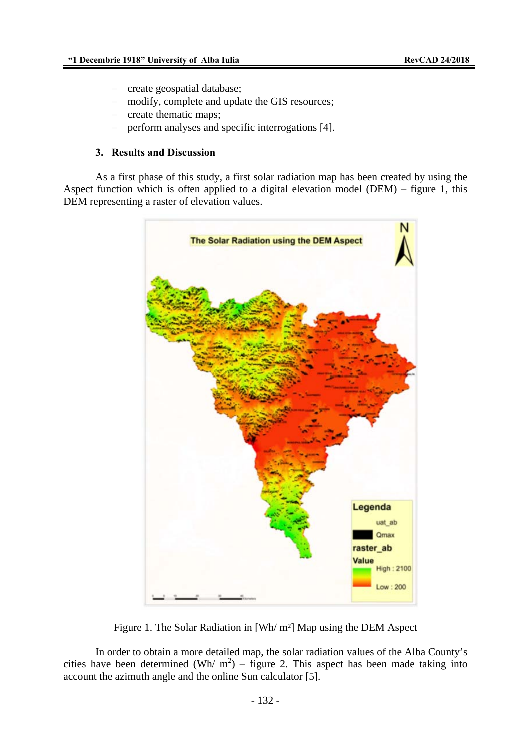- − create geospatial database;
- modify, complete and update the GIS resources;
- create thematic maps;
- − perform analyses and specific interrogations [4].

#### **3. Results and Discussion**

As a first phase of this study, a first solar radiation map has been created by using the Aspect function which is often applied to a digital elevation model (DEM) – figure 1, this DEM representing a raster of elevation values.



Figure 1. The Solar Radiation in [Wh/ m²] Map using the DEM Aspect

In order to obtain a more detailed map, the solar radiation values of the Alba County's cities have been determined (Wh/  $m^2$ ) – figure 2. This aspect has been made taking into account the azimuth angle and the online Sun calculator [5].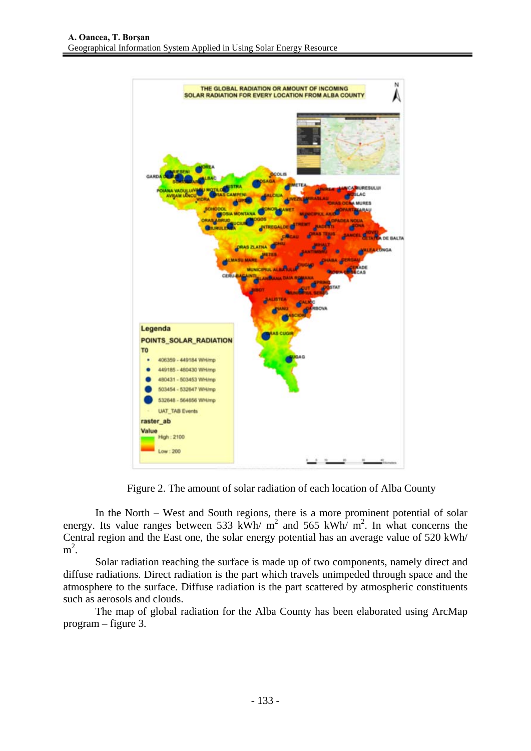

Figure 2. The amount of solar radiation of each location of Alba County

In the North – West and South regions, there is a more prominent potential of solar energy. Its value ranges between 533 kWh/  $m^2$  and 565 kWh/  $m^2$ . In what concerns the Central region and the East one, the solar energy potential has an average value of 520 kWh/  $m^2$ .

Solar radiation reaching the surface is made up of two components, namely direct and diffuse radiations. Direct radiation is the part which travels unimpeded through space and the atmosphere to the surface. Diffuse radiation is the part scattered by atmospheric constituents such as aerosols and clouds.

The map of global radiation for the Alba County has been elaborated using ArcMap program – figure 3.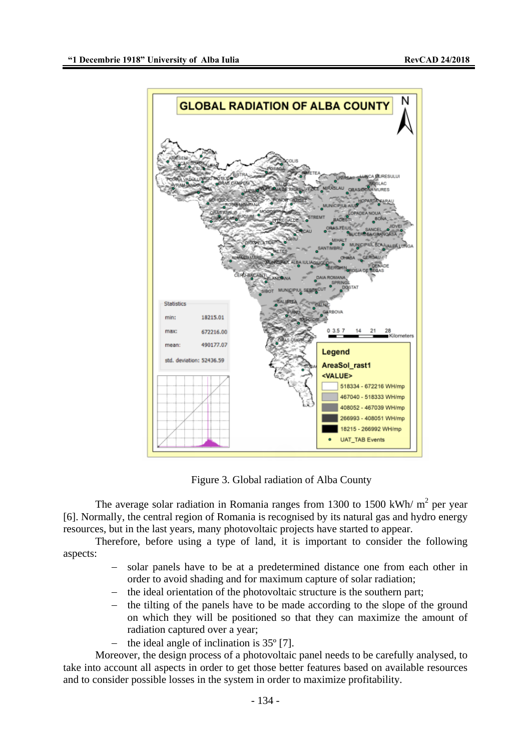

Figure 3. Global radiation of Alba County

The average solar radiation in Romania ranges from 1300 to 1500 kWh/ $m^2$  per year [6]. Normally, the central region of Romania is recognised by its natural gas and hydro energy resources, but in the last years, many photovoltaic projects have started to appear.

Therefore, before using a type of land, it is important to consider the following aspects:

- solar panels have to be at a predetermined distance one from each other in order to avoid shading and for maximum capture of solar radiation;
- the ideal orientation of the photovoltaic structure is the southern part;
- the tilting of the panels have to be made according to the slope of the ground on which they will be positioned so that they can maximize the amount of radiation captured over a year;
- the ideal angle of inclination is 35<sup>°</sup> [7].

Moreover, the design process of a photovoltaic panel needs to be carefully analysed, to take into account all aspects in order to get those better features based on available resources and to consider possible losses in the system in order to maximize profitability.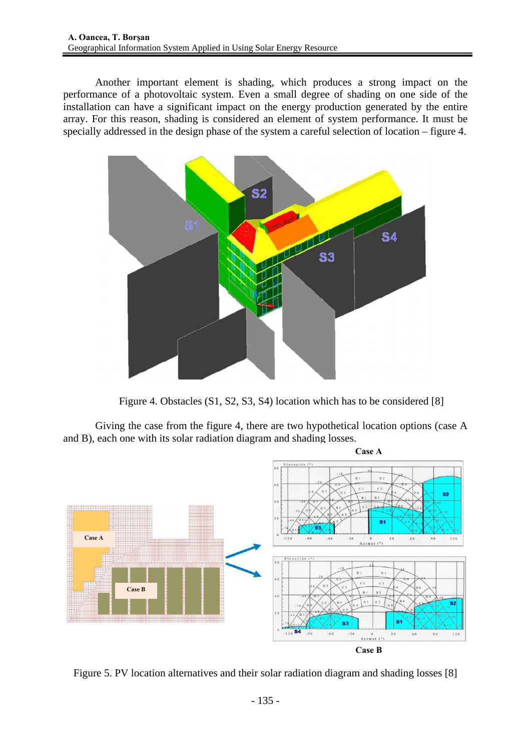Another important element is shading, which produces a strong impact on the performance of a photovoltaic system. Even a small degree of shading on one side of the installation can have a significant impact on the energy production generated by the entire array. For this reason, shading is considered an element of system performance. It must be specially addressed in the design phase of the system a careful selection of location – figure 4.



Figure 4. Obstacles (S1, S2, S3, S4) location which has to be considered [8]

Giving the case from the figure 4, there are two hypothetical location options (case A and B), each one with its solar radiation diagram and shading losses.



Figure 5. PV location alternatives and their solar radiation diagram and shading losses [8]